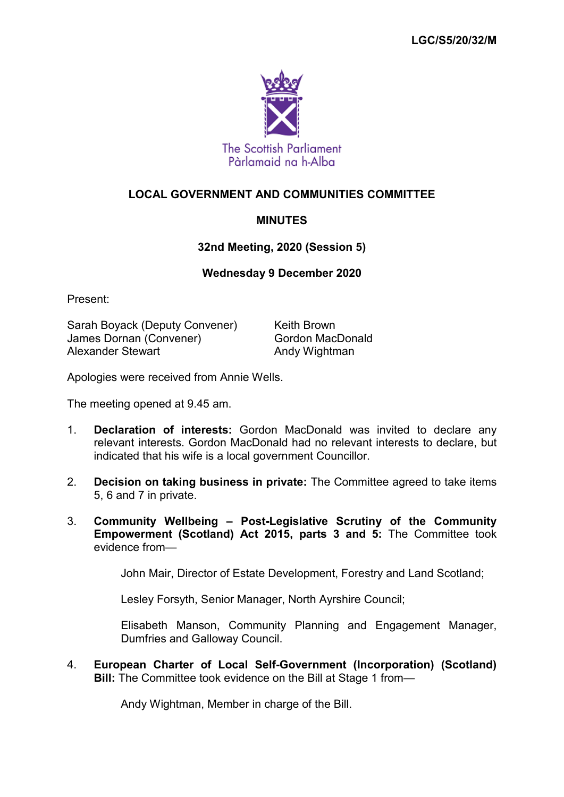

## **LOCAL GOVERNMENT AND COMMUNITIES COMMITTEE**

## **MINUTES**

## **32nd Meeting, 2020 (Session 5)**

## **Wednesday 9 December 2020**

Present:

Sarah Boyack (Deputy Convener) Keith Brown James Dornan (Convener) Gordon MacDonald<br>Alexander Stewart Gordon Conduction And Wightman

Andy Wightman

Apologies were received from Annie Wells.

The meeting opened at 9.45 am.

- 1. **Declaration of interests:** Gordon MacDonald was invited to declare any relevant interests. Gordon MacDonald had no relevant interests to declare, but indicated that his wife is a local government Councillor.
- 2. **Decision on taking business in private:** The Committee agreed to take items 5, 6 and 7 in private.
- 3. **Community Wellbeing – Post-Legislative Scrutiny of the Community Empowerment (Scotland) Act 2015, parts 3 and 5:** The Committee took evidence from—

John Mair, Director of Estate Development, Forestry and Land Scotland;

Lesley Forsyth, Senior Manager, North Ayrshire Council;

Elisabeth Manson, Community Planning and Engagement Manager, Dumfries and Galloway Council.

4. **European Charter of Local Self-Government (Incorporation) (Scotland) Bill:** The Committee took evidence on the Bill at Stage 1 from—

Andy Wightman, Member in charge of the Bill.